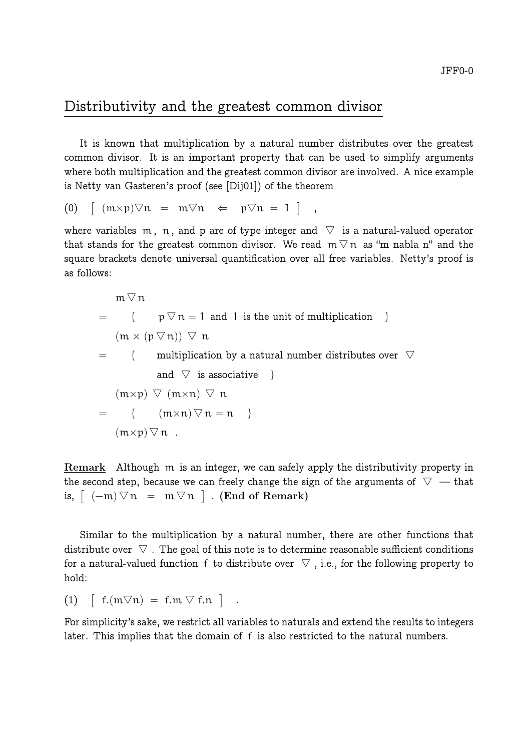## Distributivity and the greatest common divisor

It is known that multiplication by a natural number distributes over the greatest common divisor. It is an important property that can be used to simplify arguments where both multiplication and the greatest common divisor are involved. A nice example is Netty van Gasteren's proof (see [Dij01]) of the theorem

$$
(0) \quad [\text{ } (m \times p) \nabla n \text{ } = \text{ } m \nabla n \text{ } \Leftarrow \text{ } p \nabla n \text{ } = 1 \text{ } ] \text{ } ,
$$

where variables m, n, and p are of type integer and  $\triangledown$  is a natural-valued operator that stands for the greatest common divisor. We read  $m \nabla n$  as "m nabla n" and the square brackets denote universal quantification over all free variables. Netty's proof is as follows:

$$
\begin{array}{rcl}\nm \triangledown n \\
= & \{ & p \triangledown n = 1 \text{ and } 1 \text{ is the unit of multiplication } \} \\
(m \times (p \triangledown n)) \triangledown n \\
= & \{ & \text{multiplication by a natural number distributes over } \triangledown \text{ and } \triangledown \text{ is associative } \} \\
(m \times p) \triangledown (m \times n) \triangledown n \\
= & \{ & (m \times n) \triangledown n = n \} \\
(m \times p) \triangledown n\n\end{array}
$$

Remark Although m is an integer, we can safely apply the distributivity property in the second step, because we can freely change the sign of the arguments of  $\triangledown$  — that is,  $\left[ (-m) \nabla n = m \nabla n \right]$ . (End of Remark)

Similar to the multiplication by a natural number, there are other functions that distribute over  $\triangledown$ . The goal of this note is to determine reasonable sufficient conditions for a natural-valued function f to distribute over  $\nabla$ , i.e., for the following property to hold:

(1)  $\left[ f.(m\nabla n) = f.m \nabla f.n \right]$ .

For simplicity's sake, we restrict all variables to naturals and extend the results to integers later. This implies that the domain of f is also restricted to the natural numbers.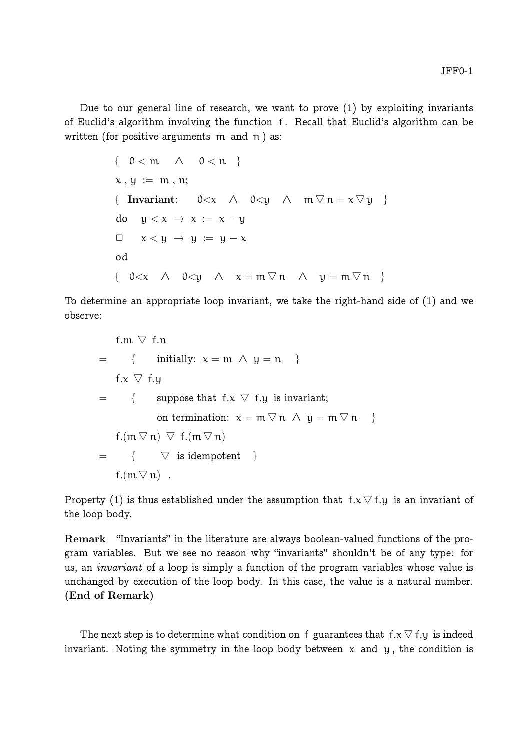Due to our general line of research, we want to prove (1) by exploiting invariants of Euclid's algorithm involving the function f . Recall that Euclid's algorithm can be written (for positive arguments  $m$  and  $n$ ) as:

$$
\{ 0 < m \land 0 < n \}
$$
  
\n
$$
x, y := m, n;
$$
  
\n{ Invariant:  $0 < x \land 0 < y \land m \nabla n = x \nabla y \}$   
\n
$$
0 \quad y < x \to x := x - y
$$
  
\n
$$
\Box x < y \to y := y - x
$$
  
\n
$$
\{ 0 < x \land 0 < y \land x = m \nabla n \land y = m \nabla n \}
$$

To determine an appropriate loop invariant, we take the right-hand side of (1) and we observe:

$$
f.m \nabla f.n
$$
\n
$$
= \{ \text{ initially: } x = m \land y = n \}
$$
\n
$$
f.x \nabla f.y
$$
\n
$$
= \{ \text{ suppose that } f.x \nabla f.y \text{ is invariant;}
$$
\n
$$
on termination: x = m \nabla n \land y = m \nabla n \}
$$
\n
$$
f.(m \nabla n) \nabla f.(m \nabla n)
$$
\n
$$
= \{ \nabla \text{ is idempotent } \}
$$
\n
$$
f.(m \nabla n) .
$$

Property (1) is thus established under the assumption that  $f.x \nabla f.y$  is an invariant of the loop body.

Remark "Invariants" in the literature are always boolean-valued functions of the program variables. But we see no reason why "invariants" shouldn't be of any type: for us, an *invariant* of a loop is simply a function of the program variables whose value is unchanged by execution of the loop body. In this case, the value is a natural number. (End of Remark)

The next step is to determine what condition on f guarantees that  $f.x \nabla f.y$  is indeed invariant. Noting the symmetry in the loop body between  $x$  and  $y$ , the condition is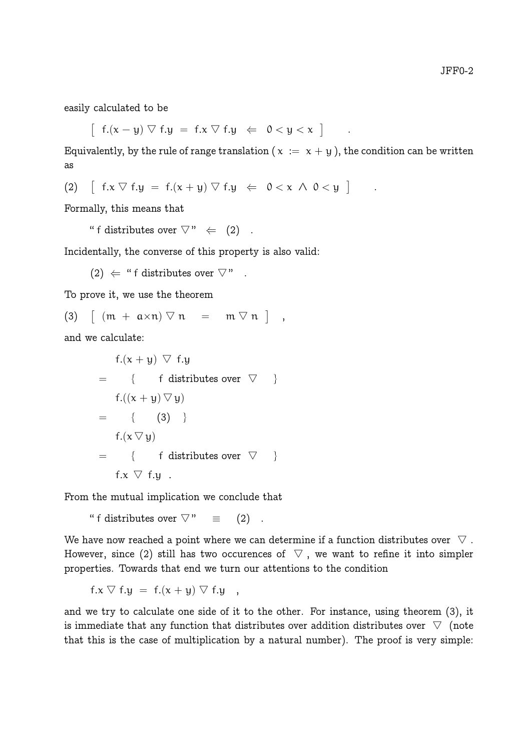easily calculated to be

 $\left[ f.(x - y) \vee f.y = f.x \vee f.y \in 0 < y < x \right]$ 

Equivalently, by the rule of range translation ( $x := x + y$ ), the condition can be written as

.

(2)  $\left[ f.x \nabla f.y = f.(x + y) \nabla f.y \Leftrightarrow 0 < x \wedge 0 < y \right]$ .

Formally, this means that

" f distributes over  $\nabla$ "  $\Leftarrow$  (2).

Incidentally, the converse of this property is also valid:

(2)  $\Leftarrow$  " f distributes over  $\nabla$ "

To prove it, we use the theorem

$$
(3) \quad \left[ (m + a \times n) \nabla n \right] = m \nabla n \quad ,
$$

and we calculate:

 $f(x + y)$   $\triangledown$  f.y  $=$  { f distributes over  $\triangledown$  }  $f.((x + y) \nabla y)$  $=$  { (3) }  $f(x \nabla y)$  $=$  { f distributes over  $\triangledown$  } f.x  $\triangledown$  f.y.

From the mutual implication we conclude that

" f distributes over  $\nabla$ " = (2).

We have now reached a point where we can determine if a function distributes over  $\triangledown$ . However, since (2) still has two occurences of  $\nabla$ , we want to refine it into simpler properties. Towards that end we turn our attentions to the condition

$$
f.x \nabla f.y = f.(x + y) \nabla f.y
$$

and we try to calculate one side of it to the other. For instance, using theorem (3), it is immediate that any function that distributes over addition distributes over  $\triangledown$  (note that this is the case of multiplication by a natural number). The proof is very simple: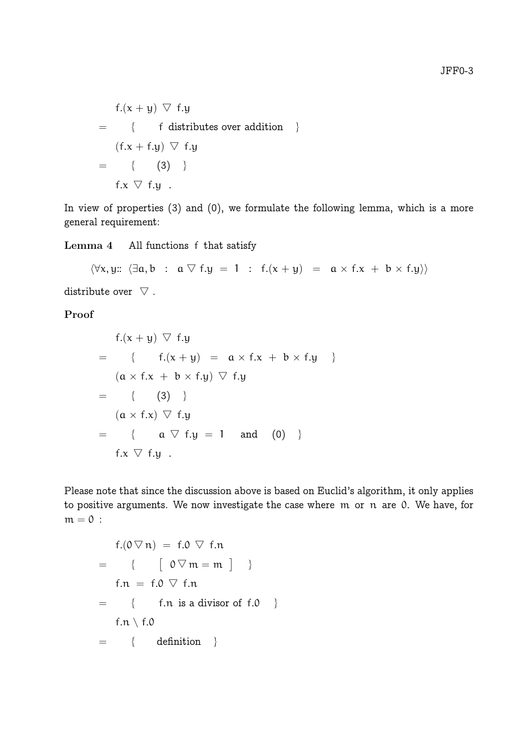$$
f.(x + y) \nabla f.y
$$
  
= { f distributes over addition }  

$$
(f.x + f.y) \nabla f.y
$$
  
= { (3) }  

$$
f.x \nabla f.y
$$
.

In view of properties (3) and (0), we formulate the following lemma, which is a more general requirement:

Lemma 4 All functions f that satisfy

 $\langle \forall x, y: : \langle \exists a, b : a \nabla f.y = 1 : f.(x + y) = a \times f.x + b \times f.y \rangle$ 

distribute over  $\nabla$ .

Proof

$$
f.(x + y) \nabla f.y
$$
\n
$$
= \{ f.(x + y) = a \times f.x + b \times f.y \}
$$
\n
$$
(a \times f.x + b \times f.y) \nabla f.y
$$
\n
$$
= \{ (3) \}
$$
\n
$$
(a \times f.x) \nabla f.y
$$
\n
$$
= \{ a \nabla f.y = 1 \text{ and } (0) \}
$$
\n
$$
f.x \nabla f.y.
$$

Please note that since the discussion above is based on Euclid's algorithm, it only applies to positive arguments. We now investigate the case where m or n are 0. We have, for  $m = 0$ :

$$
f.(0 \nabla n) = f.0 \nabla f.n
$$
  
= {  $\{ \begin{bmatrix} 0 \nabla m = m \end{bmatrix} \}$   

$$
f.n = f.0 \nabla f.n
$$
  
= {  $\{ \begin{bmatrix} f.n \text{ is a divisor of } f.0 \end{bmatrix} \}$   

$$
f.n \setminus f.0
$$
  
= {  $\{ \begin{bmatrix} \text{definition} \end{bmatrix} \}$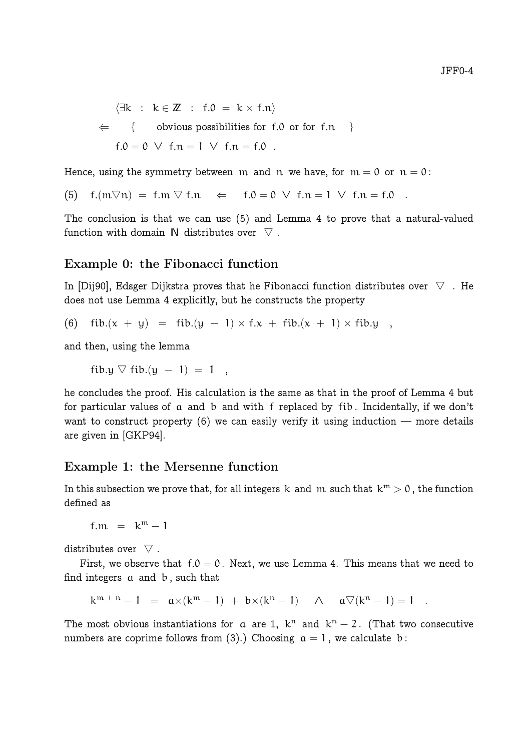$\exists k : k \in \mathbb{Z} : f.0 = k \times f.n$  $\Leftarrow$  { obvious possibilities for f.0 or for f.n } f.0 = 0  $\vee$  f.n = 1  $\vee$  f.n = f.0.

Hence, using the symmetry between m and n we have, for  $m = 0$  or  $n = 0$ :

(5)  $f(m\nabla n) = f(m \nabla f.n \Leftrightarrow f.0 = 0 \vee f.n = 1 \vee f.n = f.0$ .

The conclusion is that we can use (5) and Lemma 4 to prove that a natural-valued function with domain  $\mathbb N$  distributes over  $\nabla$ .

#### Example 0: the Fibonacci function

In [Dij90], Edsger Dijkstra proves that he Fibonacci function distributes over  $\triangledown$ . He does not use Lemma 4 explicitly, but he constructs the property

(6)  $fib.(x + y) = fib.(y - 1) \times f.x + fib.(x + 1) \times fib.y$ ,

and then, using the lemma

fib.y  $\nabla$  fib.(y – 1) = 1,

he concludes the proof. His calculation is the same as that in the proof of Lemma 4 but for particular values of a and b and with f replaced by fib . Incidentally, if we don't want to construct property  $(6)$  we can easily verify it using induction — more details are given in [GKP94].

### Example 1: the Mersenne function

In this subsection we prove that, for all integers k and m such that  $k^m > 0$ , the function defined as

 $f.m = k^m - 1$ 

distributes over  $\triangledown$ .

First, we observe that  $f = 0$ . Next, we use Lemma 4. This means that we need to find integers a and b , such that

$$
k^{m+n}-1 = \alpha \times (k^m-1) + b \times (k^n-1) \quad \wedge \quad \alpha \nabla (k^n-1) = 1 \quad .
$$

The most obvious instantiations for a are 1,  $k^n$  and  $k^n - 2$ . (That two consecutive numbers are coprime follows from (3).) Choosing  $a = 1$ , we calculate b: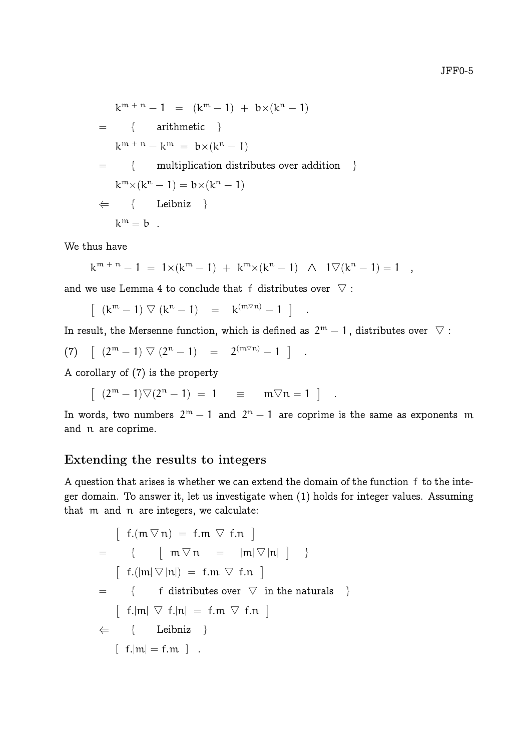$k^{m+n}-1 = (k^m-1) + bx(k^n-1)$  $=$  { arithmetic }  $k^{m+n} - k^m = b \times (k^n - 1)$ = { multiplication distributes over addition }  $k^m \times (k^n - 1) = b \times (k^n - 1)$  $\Leftarrow \{$  Leibniz }  $k^m = b$ .

We thus have

$$
k^{m+n}-1 = 1 \times (k^m-1) + k^m \times (k^n-1) \quad \wedge \quad 1 \nabla (k^n-1) = 1 \quad ,
$$

and we use Lemma 4 to conclude that f distributes over  $\nabla$ :

 $\left[ (k^m - 1) \nabla (k^n - 1) \right] = k^{(m \nabla n)} - 1 \right]$ .

In result, the Mersenne function, which is defined as  $2^{\mathfrak{m}}-1$ , distributes over  $|\nabla|$  :

(7) 
$$
\left[ (2^m - 1) \nabla (2^n - 1) \right] = 2^{(m \nabla n)} - 1 \right]
$$
.

A corollary of (7) is the property

$$
\left[ \begin{array}{llll} (2^m-1)\nabla(2^n-1) \;=\; 1 & \equiv & m\nabla n=1 \end{array} \right] \quad .
$$

In words, two numbers  $2^m - 1$  and  $2^n - 1$  are coprime is the same as exponents m and n are coprime.

### Extending the results to integers

A question that arises is whether we can extend the domain of the function f to the integer domain. To answer it, let us investigate when (1) holds for integer values. Assuming that m and n are integers, we calculate:

$$
[ f.(m \nabla n) = f.m \nabla f.n ]
$$
  
= {  $[ m \nabla n = |m| \nabla |n| ] }$  }  
= {  $[ f.(|m| \nabla |n|) = f.m \nabla f.n ]$   
= {  $[ f . |m| \nabla f . |n| = f.m \nabla f.n ]$   
 $\leftarrow$  { Leibniz }  
{  $[ f . |m| = f.m ]$  .